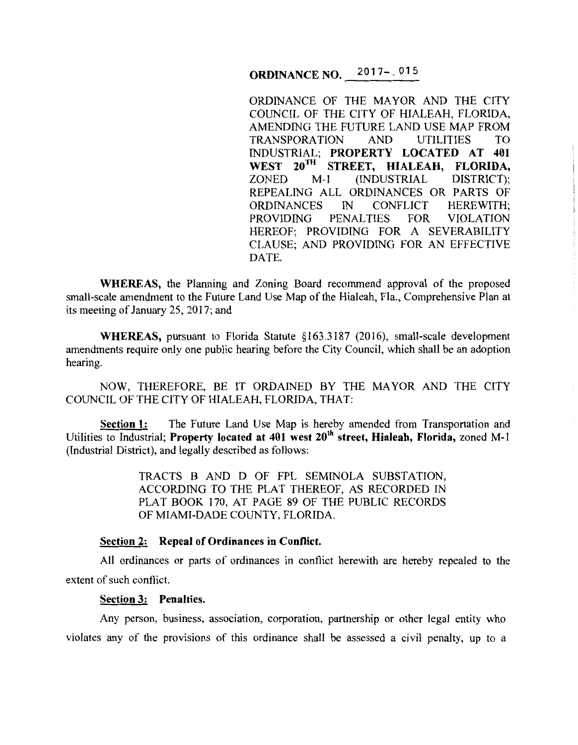# **ORDINANCE NO.** 2017-1015

ORDINANCE OF THE MAYOR AND THE CITY COUNCIL OF THE CITY OF HIALEAH, FLORIDA, AMENDING THE FUTURE LAND USE MAP FROM TRANSPORATION AND UTILITIES TO INDUSTRIAL; **PROPERTY LOCATED AT 401**  WEST 20<sup>TH</sup> STREET, HIALEAH, FLORIDA, **ZONED** M-1 (INDUSTRIAL DISTRICT); ZONED M-1 (INDUSTRIAL REPEALING ALL ORDINANCES OR PARTS OF ORDINANCES IN CONFLICT HEREWITH;<br>PROVIDING PENALTIES FOR VIOLATION PENALTIES HEREOF; PROVIDING FOR A SEVERABILITY CLAUSE; AND PROVIDING FOR AN EFFECTIVE DATE.

**WHEREAS,** the Planning and Zoning Board recommend approval of the proposed small-scale amendment to the Future Land Use Map of the Hialeah, Fla., Comprehensive Plan at its meeting of January 25, 2017; and

WHEREAS, pursuant to Florida Statute §163.3187 (2016), small-scale development amendments require only one public hearing before the City Council, which shall be an adoption hearing.

NOW, THEREFORE, BE IT ORDAINED BY THE MAYOR AND THE CITY COUNCIL OF THE CITY OF HIALEAH, FLORIDA, THAT:

**Section 1:** The Future Land Use Map is hereby amended from Transportation and Utilities to Industrial; **Property located at 401 west 20<sup>th</sup> street, Hialeah, Florida,** *zoned M-1* (Industrial District), and legally described as follows:

> TRACTS B AND D OF FPL SEMINOLA SUBSTATION, ACCORDING TO THE PLAT THEREOF, AS RECORDED IN PLAT BOOK 170, AT PAGE 89 OF THE PUBLIC RECORDS OF MIAMI-DADE COUNTY, FLORIDA.

#### **Section 2: Repeal of Ordinances in Conflict.**

All ordinances or parts of ordinances in conflict herewith are hereby repealed to the extent of such conflict.

#### **Section 3: Penalties.**

Any person, business, association, corporation, partnership or other legal entity who violates any of the provisions of this ordinance shall be assessed a civil penalty, up to a